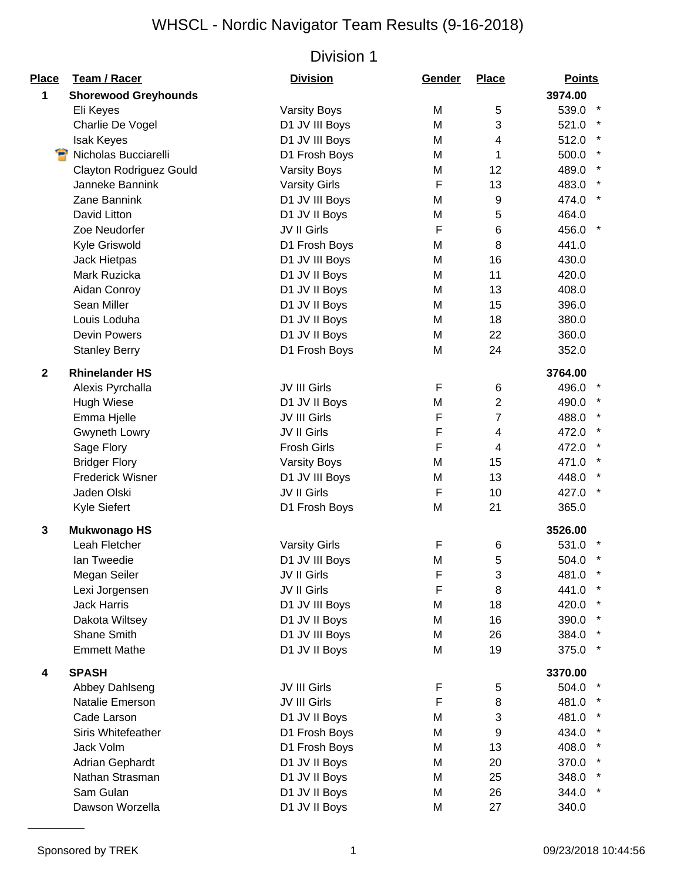| <b>Place</b> | <b>Team / Racer</b>            | <b>Division</b>      | Gender | <b>Place</b>   | <b>Points</b>         |
|--------------|--------------------------------|----------------------|--------|----------------|-----------------------|
| 1            | <b>Shorewood Greyhounds</b>    |                      |        |                | 3974.00               |
|              | Eli Keyes                      | <b>Varsity Boys</b>  | M      | 5              | 539.0                 |
|              | Charlie De Vogel               | D1 JV III Boys       | M      | 3              | 521.0                 |
|              | <b>Isak Keyes</b>              | D1 JV III Boys       | M      | 4              | 512.0                 |
|              | Nicholas Bucciarelli           | D1 Frosh Boys        | M      | 1              | 500.0                 |
|              | <b>Clayton Rodriguez Gould</b> | <b>Varsity Boys</b>  | Μ      | 12             | 489.0<br>$\star$      |
|              | Janneke Bannink                | <b>Varsity Girls</b> | F      | 13             | 483.0                 |
|              | Zane Bannink                   | D1 JV III Boys       | M      | 9              | 474.0<br>$\star$      |
|              | David Litton                   | D1 JV II Boys        | M      | 5              | 464.0                 |
|              | Zoe Neudorfer                  | JV II Girls          | F      | 6              | 456.0                 |
|              | Kyle Griswold                  | D1 Frosh Boys        | M      | 8              | 441.0                 |
|              | Jack Hietpas                   | D1 JV III Boys       | M      | 16             | 430.0                 |
|              | Mark Ruzicka                   | D1 JV II Boys        | M      | 11             | 420.0                 |
|              | Aidan Conroy                   | D1 JV II Boys        | M      | 13             | 408.0                 |
|              | Sean Miller                    | D1 JV II Boys        | M      | 15             | 396.0                 |
|              | Louis Loduha                   | D1 JV II Boys        | M      | 18             | 380.0                 |
|              | <b>Devin Powers</b>            | D1 JV II Boys        | M      | 22             | 360.0                 |
|              | <b>Stanley Berry</b>           | D1 Frosh Boys        | M      | 24             | 352.0                 |
| $\mathbf{2}$ | <b>Rhinelander HS</b>          |                      |        |                | 3764.00               |
|              | Alexis Pyrchalla               | <b>JV III Girls</b>  | F      | 6              | 496.0                 |
|              | <b>Hugh Wiese</b>              | D1 JV II Boys        | M      | $\overline{c}$ | 490.0                 |
|              | Emma Hjelle                    | JV III Girls         | F      | 7              | 488.0                 |
|              | Gwyneth Lowry                  | JV II Girls          | F      | 4              | 472.0                 |
|              | Sage Flory                     | <b>Frosh Girls</b>   | F      | 4              | $\star$<br>472.0      |
|              | <b>Bridger Flory</b>           | <b>Varsity Boys</b>  | M      | 15             | $\star$<br>471.0      |
|              | <b>Frederick Wisner</b>        | D1 JV III Boys       | M      | 13             | $\pmb{\ast}$<br>448.0 |
|              | Jaden Olski                    | JV II Girls          | F      | 10             | 427.0                 |
|              | Kyle Siefert                   | D1 Frosh Boys        | M      | 21             | 365.0                 |
| $\mathbf 3$  | <b>Mukwonago HS</b>            |                      |        |                | 3526.00               |
|              | Leah Fletcher                  | <b>Varsity Girls</b> | F      | 6              | 531.0                 |
|              | Ian Tweedie                    | D1 JV III Boys       | M      | 5              | 504.0                 |
|              | Megan Seiler                   | JV II Girls          | F      | 3              | 481.0                 |
|              | Lexi Jorgensen                 | JV II Girls          | F      | 8              | 441.0                 |
|              | <b>Jack Harris</b>             | D1 JV III Boys       | M      | 18             | 420.0                 |
|              | Dakota Wiltsey                 | D1 JV II Boys        | M      | 16             | 390.0                 |
|              | Shane Smith                    | D1 JV III Boys       | M      | 26             | 384.0                 |
|              | <b>Emmett Mathe</b>            | D1 JV II Boys        | M      | 19             | 375.0<br>$\star$      |
| 4            | <b>SPASH</b>                   |                      |        |                | 3370.00               |
|              | Abbey Dahlseng                 | JV III Girls         | F      | 5              | 504.0                 |
|              | Natalie Emerson                | JV III Girls         | F      | 8              | 481.0                 |
|              | Cade Larson                    | D1 JV II Boys        | M      | 3              | 481.0                 |
|              | Siris Whitefeather             | D1 Frosh Boys        | M      | 9              | 434.0                 |
|              | Jack Volm                      | D1 Frosh Boys        | M      | 13             | 408.0                 |
|              | Adrian Gephardt                | D1 JV II Boys        | M      | 20             | 370.0                 |
|              | Nathan Strasman                | D1 JV II Boys        | Μ      | 25             | 348.0                 |
|              | Sam Gulan                      | D1 JV II Boys        | M      | 26             | 344.0                 |
|              | Dawson Worzella                | D1 JV II Boys        | M      | 27             | 340.0                 |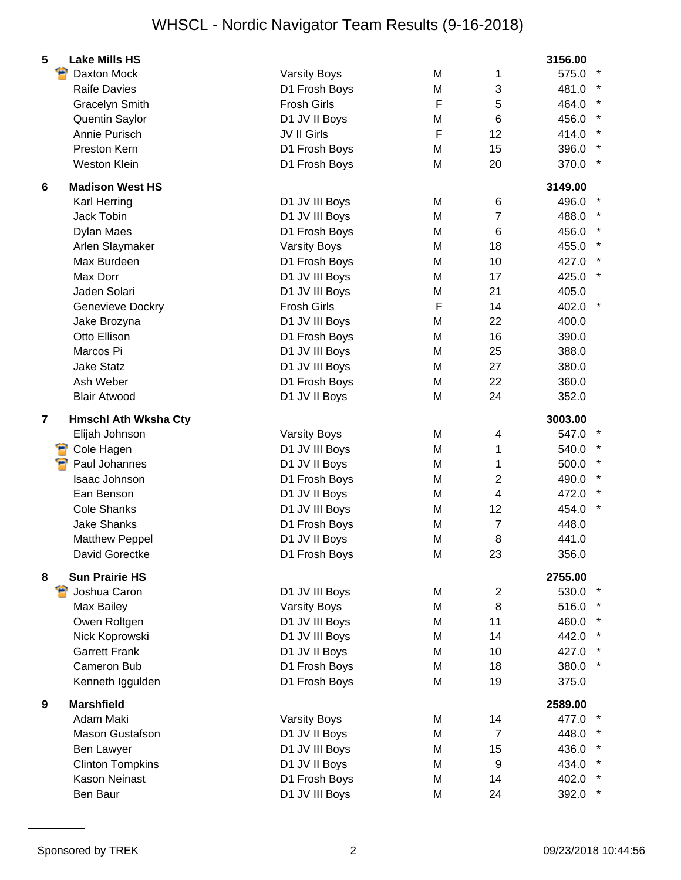| Daxton Mock<br><b>Varsity Boys</b><br>M<br>1<br>575.0<br>$\sqrt{3}$<br><b>Raife Davies</b><br>D1 Frosh Boys<br>M<br>481.0<br>F<br><b>Gracelyn Smith</b><br><b>Frosh Girls</b><br>5<br>464.0<br>Quentin Saylor<br>D1 JV II Boys<br>6<br>456.0<br>M<br>F<br>Annie Purisch<br>JV II Girls<br>12<br>414.0<br>Preston Kern<br>15<br>D1 Frosh Boys<br>M<br>396.0<br><b>Weston Klein</b><br>D1 Frosh Boys<br>M<br>20<br>370.0<br><b>Madison West HS</b><br>3149.00<br>6<br>Karl Herring<br>D1 JV III Boys<br>M<br>6<br>496.0<br>Jack Tobin<br>D1 JV III Boys<br>M<br>$\overline{7}$<br>488.0<br>6<br>Dylan Maes<br>D1 Frosh Boys<br>M<br>456.0<br>Arlen Slaymaker<br><b>Varsity Boys</b><br>M<br>18<br>455.0<br>Max Burdeen<br>D1 Frosh Boys<br>M<br>10<br>427.0<br>Max Dorr<br>D1 JV III Boys<br>M<br>17<br>425.0<br>Jaden Solari<br>D1 JV III Boys<br>M<br>21<br>405.0<br>F<br><b>Frosh Girls</b><br>14<br>Genevieve Dockry<br>402.0<br>Jake Brozyna<br>D1 JV III Boys<br>M<br>22<br>400.0<br>Otto Ellison<br>D1 Frosh Boys<br>M<br>16<br>390.0<br>Marcos Pi<br>D1 JV III Boys<br>M<br>25<br>388.0<br><b>Jake Statz</b><br>D1 JV III Boys<br>M<br>27<br>380.0<br>Ash Weber<br>D1 Frosh Boys<br>22<br>360.0<br>M<br>D1 JV II Boys<br>24<br><b>Blair Atwood</b><br>M<br>352.0<br>3003.00<br>$\overline{7}$<br><b>Hmschl Ath Wksha Cty</b><br>Elijah Johnson<br><b>Varsity Boys</b><br>M<br>547.0<br>4<br>Cole Hagen<br>D1 JV III Boys<br>1<br>540.0<br>M<br>Paul Johannes<br>D1 JV II Boys<br>M<br>500.0<br>1<br>$\overline{2}$<br><b>Isaac Johnson</b><br>D1 Frosh Boys<br>M<br>490.0<br>Ean Benson<br>D1 JV II Boys<br>M<br>$\overline{4}$<br>472.0<br><b>Cole Shanks</b><br>D1 JV III Boys<br>12<br>M<br>454.0<br><b>Jake Shanks</b><br>D1 Frosh Boys<br>448.0<br>M<br>$\overline{7}$<br><b>Matthew Peppel</b><br>D1 JV II Boys<br>M<br>8<br>441.0<br>David Gorectke<br>D1 Frosh Boys<br>23<br>356.0<br>M<br><b>Sun Prairie HS</b><br>2755.00<br>8<br>Joshua Caron<br>D1 JV III Boys<br>$\overline{2}$<br>M<br>8<br>Max Bailey<br><b>Varsity Boys</b><br>M<br>516.0<br>Owen Roltgen<br>D1 JV III Boys<br>11<br>M<br>460.0<br>Nick Koprowski<br>D1 JV III Boys<br>14<br>M<br>442.0<br><b>Garrett Frank</b><br>D1 JV II Boys<br>M<br>10<br>427.0<br>Cameron Bub<br>D1 Frosh Boys<br>380.0<br>M<br>18<br>Kenneth Iggulden<br>D1 Frosh Boys<br>M<br>19<br>375.0<br><b>Marshfield</b><br>2589.00<br>9<br>Adam Maki<br><b>Varsity Boys</b><br>M<br>14<br>477.0<br>Mason Gustafson<br>D1 JV II Boys<br>M<br>$\overline{7}$<br>448.0 | 5<br><b>Lake Mills HS</b> |  | 3156.00 |
|--------------------------------------------------------------------------------------------------------------------------------------------------------------------------------------------------------------------------------------------------------------------------------------------------------------------------------------------------------------------------------------------------------------------------------------------------------------------------------------------------------------------------------------------------------------------------------------------------------------------------------------------------------------------------------------------------------------------------------------------------------------------------------------------------------------------------------------------------------------------------------------------------------------------------------------------------------------------------------------------------------------------------------------------------------------------------------------------------------------------------------------------------------------------------------------------------------------------------------------------------------------------------------------------------------------------------------------------------------------------------------------------------------------------------------------------------------------------------------------------------------------------------------------------------------------------------------------------------------------------------------------------------------------------------------------------------------------------------------------------------------------------------------------------------------------------------------------------------------------------------------------------------------------------------------------------------------------------------------------------------------------------------------------------------------------------------------------------------------------------------------------------------------------------------------------------------------------------------------------------------------------------------------------------------------------------------------------------------------------------------------------------------------------------------------------------------------------------------------------------------------------------------|---------------------------|--|---------|
|                                                                                                                                                                                                                                                                                                                                                                                                                                                                                                                                                                                                                                                                                                                                                                                                                                                                                                                                                                                                                                                                                                                                                                                                                                                                                                                                                                                                                                                                                                                                                                                                                                                                                                                                                                                                                                                                                                                                                                                                                                                                                                                                                                                                                                                                                                                                                                                                                                                                                                                          |                           |  |         |
|                                                                                                                                                                                                                                                                                                                                                                                                                                                                                                                                                                                                                                                                                                                                                                                                                                                                                                                                                                                                                                                                                                                                                                                                                                                                                                                                                                                                                                                                                                                                                                                                                                                                                                                                                                                                                                                                                                                                                                                                                                                                                                                                                                                                                                                                                                                                                                                                                                                                                                                          |                           |  |         |
|                                                                                                                                                                                                                                                                                                                                                                                                                                                                                                                                                                                                                                                                                                                                                                                                                                                                                                                                                                                                                                                                                                                                                                                                                                                                                                                                                                                                                                                                                                                                                                                                                                                                                                                                                                                                                                                                                                                                                                                                                                                                                                                                                                                                                                                                                                                                                                                                                                                                                                                          |                           |  |         |
|                                                                                                                                                                                                                                                                                                                                                                                                                                                                                                                                                                                                                                                                                                                                                                                                                                                                                                                                                                                                                                                                                                                                                                                                                                                                                                                                                                                                                                                                                                                                                                                                                                                                                                                                                                                                                                                                                                                                                                                                                                                                                                                                                                                                                                                                                                                                                                                                                                                                                                                          |                           |  |         |
|                                                                                                                                                                                                                                                                                                                                                                                                                                                                                                                                                                                                                                                                                                                                                                                                                                                                                                                                                                                                                                                                                                                                                                                                                                                                                                                                                                                                                                                                                                                                                                                                                                                                                                                                                                                                                                                                                                                                                                                                                                                                                                                                                                                                                                                                                                                                                                                                                                                                                                                          |                           |  |         |
|                                                                                                                                                                                                                                                                                                                                                                                                                                                                                                                                                                                                                                                                                                                                                                                                                                                                                                                                                                                                                                                                                                                                                                                                                                                                                                                                                                                                                                                                                                                                                                                                                                                                                                                                                                                                                                                                                                                                                                                                                                                                                                                                                                                                                                                                                                                                                                                                                                                                                                                          |                           |  |         |
|                                                                                                                                                                                                                                                                                                                                                                                                                                                                                                                                                                                                                                                                                                                                                                                                                                                                                                                                                                                                                                                                                                                                                                                                                                                                                                                                                                                                                                                                                                                                                                                                                                                                                                                                                                                                                                                                                                                                                                                                                                                                                                                                                                                                                                                                                                                                                                                                                                                                                                                          |                           |  |         |
|                                                                                                                                                                                                                                                                                                                                                                                                                                                                                                                                                                                                                                                                                                                                                                                                                                                                                                                                                                                                                                                                                                                                                                                                                                                                                                                                                                                                                                                                                                                                                                                                                                                                                                                                                                                                                                                                                                                                                                                                                                                                                                                                                                                                                                                                                                                                                                                                                                                                                                                          |                           |  |         |
|                                                                                                                                                                                                                                                                                                                                                                                                                                                                                                                                                                                                                                                                                                                                                                                                                                                                                                                                                                                                                                                                                                                                                                                                                                                                                                                                                                                                                                                                                                                                                                                                                                                                                                                                                                                                                                                                                                                                                                                                                                                                                                                                                                                                                                                                                                                                                                                                                                                                                                                          |                           |  |         |
|                                                                                                                                                                                                                                                                                                                                                                                                                                                                                                                                                                                                                                                                                                                                                                                                                                                                                                                                                                                                                                                                                                                                                                                                                                                                                                                                                                                                                                                                                                                                                                                                                                                                                                                                                                                                                                                                                                                                                                                                                                                                                                                                                                                                                                                                                                                                                                                                                                                                                                                          |                           |  |         |
|                                                                                                                                                                                                                                                                                                                                                                                                                                                                                                                                                                                                                                                                                                                                                                                                                                                                                                                                                                                                                                                                                                                                                                                                                                                                                                                                                                                                                                                                                                                                                                                                                                                                                                                                                                                                                                                                                                                                                                                                                                                                                                                                                                                                                                                                                                                                                                                                                                                                                                                          |                           |  |         |
|                                                                                                                                                                                                                                                                                                                                                                                                                                                                                                                                                                                                                                                                                                                                                                                                                                                                                                                                                                                                                                                                                                                                                                                                                                                                                                                                                                                                                                                                                                                                                                                                                                                                                                                                                                                                                                                                                                                                                                                                                                                                                                                                                                                                                                                                                                                                                                                                                                                                                                                          |                           |  |         |
|                                                                                                                                                                                                                                                                                                                                                                                                                                                                                                                                                                                                                                                                                                                                                                                                                                                                                                                                                                                                                                                                                                                                                                                                                                                                                                                                                                                                                                                                                                                                                                                                                                                                                                                                                                                                                                                                                                                                                                                                                                                                                                                                                                                                                                                                                                                                                                                                                                                                                                                          |                           |  |         |
|                                                                                                                                                                                                                                                                                                                                                                                                                                                                                                                                                                                                                                                                                                                                                                                                                                                                                                                                                                                                                                                                                                                                                                                                                                                                                                                                                                                                                                                                                                                                                                                                                                                                                                                                                                                                                                                                                                                                                                                                                                                                                                                                                                                                                                                                                                                                                                                                                                                                                                                          |                           |  |         |
|                                                                                                                                                                                                                                                                                                                                                                                                                                                                                                                                                                                                                                                                                                                                                                                                                                                                                                                                                                                                                                                                                                                                                                                                                                                                                                                                                                                                                                                                                                                                                                                                                                                                                                                                                                                                                                                                                                                                                                                                                                                                                                                                                                                                                                                                                                                                                                                                                                                                                                                          |                           |  |         |
|                                                                                                                                                                                                                                                                                                                                                                                                                                                                                                                                                                                                                                                                                                                                                                                                                                                                                                                                                                                                                                                                                                                                                                                                                                                                                                                                                                                                                                                                                                                                                                                                                                                                                                                                                                                                                                                                                                                                                                                                                                                                                                                                                                                                                                                                                                                                                                                                                                                                                                                          |                           |  |         |
|                                                                                                                                                                                                                                                                                                                                                                                                                                                                                                                                                                                                                                                                                                                                                                                                                                                                                                                                                                                                                                                                                                                                                                                                                                                                                                                                                                                                                                                                                                                                                                                                                                                                                                                                                                                                                                                                                                                                                                                                                                                                                                                                                                                                                                                                                                                                                                                                                                                                                                                          |                           |  |         |
|                                                                                                                                                                                                                                                                                                                                                                                                                                                                                                                                                                                                                                                                                                                                                                                                                                                                                                                                                                                                                                                                                                                                                                                                                                                                                                                                                                                                                                                                                                                                                                                                                                                                                                                                                                                                                                                                                                                                                                                                                                                                                                                                                                                                                                                                                                                                                                                                                                                                                                                          |                           |  |         |
|                                                                                                                                                                                                                                                                                                                                                                                                                                                                                                                                                                                                                                                                                                                                                                                                                                                                                                                                                                                                                                                                                                                                                                                                                                                                                                                                                                                                                                                                                                                                                                                                                                                                                                                                                                                                                                                                                                                                                                                                                                                                                                                                                                                                                                                                                                                                                                                                                                                                                                                          |                           |  |         |
|                                                                                                                                                                                                                                                                                                                                                                                                                                                                                                                                                                                                                                                                                                                                                                                                                                                                                                                                                                                                                                                                                                                                                                                                                                                                                                                                                                                                                                                                                                                                                                                                                                                                                                                                                                                                                                                                                                                                                                                                                                                                                                                                                                                                                                                                                                                                                                                                                                                                                                                          |                           |  |         |
|                                                                                                                                                                                                                                                                                                                                                                                                                                                                                                                                                                                                                                                                                                                                                                                                                                                                                                                                                                                                                                                                                                                                                                                                                                                                                                                                                                                                                                                                                                                                                                                                                                                                                                                                                                                                                                                                                                                                                                                                                                                                                                                                                                                                                                                                                                                                                                                                                                                                                                                          |                           |  |         |
|                                                                                                                                                                                                                                                                                                                                                                                                                                                                                                                                                                                                                                                                                                                                                                                                                                                                                                                                                                                                                                                                                                                                                                                                                                                                                                                                                                                                                                                                                                                                                                                                                                                                                                                                                                                                                                                                                                                                                                                                                                                                                                                                                                                                                                                                                                                                                                                                                                                                                                                          |                           |  |         |
|                                                                                                                                                                                                                                                                                                                                                                                                                                                                                                                                                                                                                                                                                                                                                                                                                                                                                                                                                                                                                                                                                                                                                                                                                                                                                                                                                                                                                                                                                                                                                                                                                                                                                                                                                                                                                                                                                                                                                                                                                                                                                                                                                                                                                                                                                                                                                                                                                                                                                                                          |                           |  |         |
|                                                                                                                                                                                                                                                                                                                                                                                                                                                                                                                                                                                                                                                                                                                                                                                                                                                                                                                                                                                                                                                                                                                                                                                                                                                                                                                                                                                                                                                                                                                                                                                                                                                                                                                                                                                                                                                                                                                                                                                                                                                                                                                                                                                                                                                                                                                                                                                                                                                                                                                          |                           |  |         |
|                                                                                                                                                                                                                                                                                                                                                                                                                                                                                                                                                                                                                                                                                                                                                                                                                                                                                                                                                                                                                                                                                                                                                                                                                                                                                                                                                                                                                                                                                                                                                                                                                                                                                                                                                                                                                                                                                                                                                                                                                                                                                                                                                                                                                                                                                                                                                                                                                                                                                                                          |                           |  |         |
|                                                                                                                                                                                                                                                                                                                                                                                                                                                                                                                                                                                                                                                                                                                                                                                                                                                                                                                                                                                                                                                                                                                                                                                                                                                                                                                                                                                                                                                                                                                                                                                                                                                                                                                                                                                                                                                                                                                                                                                                                                                                                                                                                                                                                                                                                                                                                                                                                                                                                                                          |                           |  |         |
|                                                                                                                                                                                                                                                                                                                                                                                                                                                                                                                                                                                                                                                                                                                                                                                                                                                                                                                                                                                                                                                                                                                                                                                                                                                                                                                                                                                                                                                                                                                                                                                                                                                                                                                                                                                                                                                                                                                                                                                                                                                                                                                                                                                                                                                                                                                                                                                                                                                                                                                          |                           |  |         |
|                                                                                                                                                                                                                                                                                                                                                                                                                                                                                                                                                                                                                                                                                                                                                                                                                                                                                                                                                                                                                                                                                                                                                                                                                                                                                                                                                                                                                                                                                                                                                                                                                                                                                                                                                                                                                                                                                                                                                                                                                                                                                                                                                                                                                                                                                                                                                                                                                                                                                                                          |                           |  |         |
|                                                                                                                                                                                                                                                                                                                                                                                                                                                                                                                                                                                                                                                                                                                                                                                                                                                                                                                                                                                                                                                                                                                                                                                                                                                                                                                                                                                                                                                                                                                                                                                                                                                                                                                                                                                                                                                                                                                                                                                                                                                                                                                                                                                                                                                                                                                                                                                                                                                                                                                          |                           |  |         |
|                                                                                                                                                                                                                                                                                                                                                                                                                                                                                                                                                                                                                                                                                                                                                                                                                                                                                                                                                                                                                                                                                                                                                                                                                                                                                                                                                                                                                                                                                                                                                                                                                                                                                                                                                                                                                                                                                                                                                                                                                                                                                                                                                                                                                                                                                                                                                                                                                                                                                                                          |                           |  |         |
|                                                                                                                                                                                                                                                                                                                                                                                                                                                                                                                                                                                                                                                                                                                                                                                                                                                                                                                                                                                                                                                                                                                                                                                                                                                                                                                                                                                                                                                                                                                                                                                                                                                                                                                                                                                                                                                                                                                                                                                                                                                                                                                                                                                                                                                                                                                                                                                                                                                                                                                          |                           |  |         |
|                                                                                                                                                                                                                                                                                                                                                                                                                                                                                                                                                                                                                                                                                                                                                                                                                                                                                                                                                                                                                                                                                                                                                                                                                                                                                                                                                                                                                                                                                                                                                                                                                                                                                                                                                                                                                                                                                                                                                                                                                                                                                                                                                                                                                                                                                                                                                                                                                                                                                                                          |                           |  |         |
|                                                                                                                                                                                                                                                                                                                                                                                                                                                                                                                                                                                                                                                                                                                                                                                                                                                                                                                                                                                                                                                                                                                                                                                                                                                                                                                                                                                                                                                                                                                                                                                                                                                                                                                                                                                                                                                                                                                                                                                                                                                                                                                                                                                                                                                                                                                                                                                                                                                                                                                          |                           |  |         |
|                                                                                                                                                                                                                                                                                                                                                                                                                                                                                                                                                                                                                                                                                                                                                                                                                                                                                                                                                                                                                                                                                                                                                                                                                                                                                                                                                                                                                                                                                                                                                                                                                                                                                                                                                                                                                                                                                                                                                                                                                                                                                                                                                                                                                                                                                                                                                                                                                                                                                                                          |                           |  | 530.0   |
|                                                                                                                                                                                                                                                                                                                                                                                                                                                                                                                                                                                                                                                                                                                                                                                                                                                                                                                                                                                                                                                                                                                                                                                                                                                                                                                                                                                                                                                                                                                                                                                                                                                                                                                                                                                                                                                                                                                                                                                                                                                                                                                                                                                                                                                                                                                                                                                                                                                                                                                          |                           |  |         |
|                                                                                                                                                                                                                                                                                                                                                                                                                                                                                                                                                                                                                                                                                                                                                                                                                                                                                                                                                                                                                                                                                                                                                                                                                                                                                                                                                                                                                                                                                                                                                                                                                                                                                                                                                                                                                                                                                                                                                                                                                                                                                                                                                                                                                                                                                                                                                                                                                                                                                                                          |                           |  |         |
|                                                                                                                                                                                                                                                                                                                                                                                                                                                                                                                                                                                                                                                                                                                                                                                                                                                                                                                                                                                                                                                                                                                                                                                                                                                                                                                                                                                                                                                                                                                                                                                                                                                                                                                                                                                                                                                                                                                                                                                                                                                                                                                                                                                                                                                                                                                                                                                                                                                                                                                          |                           |  |         |
|                                                                                                                                                                                                                                                                                                                                                                                                                                                                                                                                                                                                                                                                                                                                                                                                                                                                                                                                                                                                                                                                                                                                                                                                                                                                                                                                                                                                                                                                                                                                                                                                                                                                                                                                                                                                                                                                                                                                                                                                                                                                                                                                                                                                                                                                                                                                                                                                                                                                                                                          |                           |  |         |
|                                                                                                                                                                                                                                                                                                                                                                                                                                                                                                                                                                                                                                                                                                                                                                                                                                                                                                                                                                                                                                                                                                                                                                                                                                                                                                                                                                                                                                                                                                                                                                                                                                                                                                                                                                                                                                                                                                                                                                                                                                                                                                                                                                                                                                                                                                                                                                                                                                                                                                                          |                           |  |         |
|                                                                                                                                                                                                                                                                                                                                                                                                                                                                                                                                                                                                                                                                                                                                                                                                                                                                                                                                                                                                                                                                                                                                                                                                                                                                                                                                                                                                                                                                                                                                                                                                                                                                                                                                                                                                                                                                                                                                                                                                                                                                                                                                                                                                                                                                                                                                                                                                                                                                                                                          |                           |  |         |
|                                                                                                                                                                                                                                                                                                                                                                                                                                                                                                                                                                                                                                                                                                                                                                                                                                                                                                                                                                                                                                                                                                                                                                                                                                                                                                                                                                                                                                                                                                                                                                                                                                                                                                                                                                                                                                                                                                                                                                                                                                                                                                                                                                                                                                                                                                                                                                                                                                                                                                                          |                           |  |         |
|                                                                                                                                                                                                                                                                                                                                                                                                                                                                                                                                                                                                                                                                                                                                                                                                                                                                                                                                                                                                                                                                                                                                                                                                                                                                                                                                                                                                                                                                                                                                                                                                                                                                                                                                                                                                                                                                                                                                                                                                                                                                                                                                                                                                                                                                                                                                                                                                                                                                                                                          |                           |  |         |
|                                                                                                                                                                                                                                                                                                                                                                                                                                                                                                                                                                                                                                                                                                                                                                                                                                                                                                                                                                                                                                                                                                                                                                                                                                                                                                                                                                                                                                                                                                                                                                                                                                                                                                                                                                                                                                                                                                                                                                                                                                                                                                                                                                                                                                                                                                                                                                                                                                                                                                                          |                           |  |         |
| D1 JV III Boys<br>Ben Lawyer<br>M<br>15                                                                                                                                                                                                                                                                                                                                                                                                                                                                                                                                                                                                                                                                                                                                                                                                                                                                                                                                                                                                                                                                                                                                                                                                                                                                                                                                                                                                                                                                                                                                                                                                                                                                                                                                                                                                                                                                                                                                                                                                                                                                                                                                                                                                                                                                                                                                                                                                                                                                                  |                           |  | 436.0   |
| <b>Clinton Tompkins</b><br>D1 JV II Boys<br>9<br>M                                                                                                                                                                                                                                                                                                                                                                                                                                                                                                                                                                                                                                                                                                                                                                                                                                                                                                                                                                                                                                                                                                                                                                                                                                                                                                                                                                                                                                                                                                                                                                                                                                                                                                                                                                                                                                                                                                                                                                                                                                                                                                                                                                                                                                                                                                                                                                                                                                                                       |                           |  | 434.0   |
| <b>Kason Neinast</b><br>D1 Frosh Boys<br>14<br>M                                                                                                                                                                                                                                                                                                                                                                                                                                                                                                                                                                                                                                                                                                                                                                                                                                                                                                                                                                                                                                                                                                                                                                                                                                                                                                                                                                                                                                                                                                                                                                                                                                                                                                                                                                                                                                                                                                                                                                                                                                                                                                                                                                                                                                                                                                                                                                                                                                                                         |                           |  | 402.0   |
| D1 JV III Boys<br>Ben Baur<br>M<br>24                                                                                                                                                                                                                                                                                                                                                                                                                                                                                                                                                                                                                                                                                                                                                                                                                                                                                                                                                                                                                                                                                                                                                                                                                                                                                                                                                                                                                                                                                                                                                                                                                                                                                                                                                                                                                                                                                                                                                                                                                                                                                                                                                                                                                                                                                                                                                                                                                                                                                    |                           |  | 392.0   |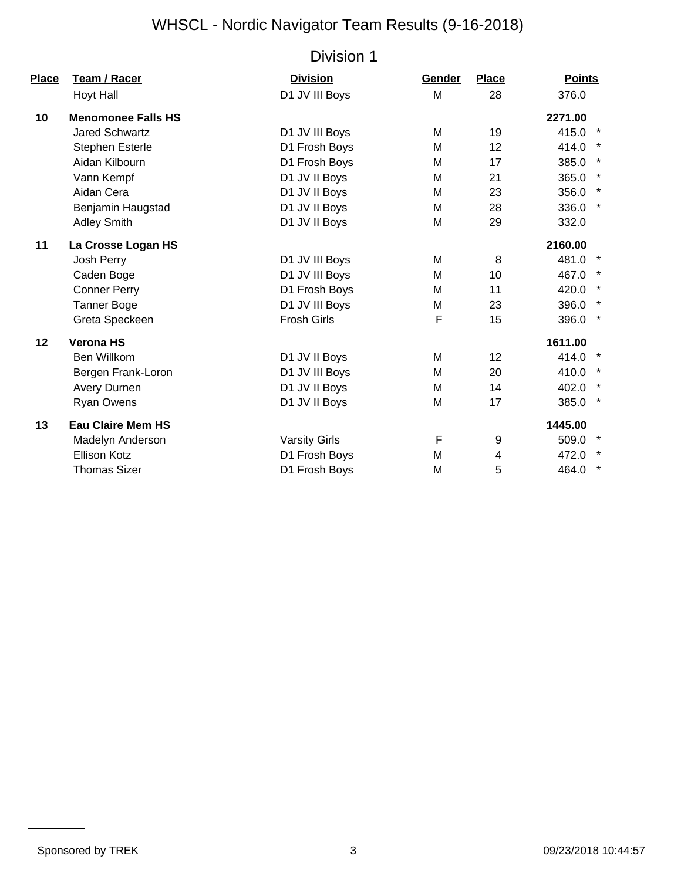| Place | <b>Team / Racer</b>       | <b>Division</b>      | Gender | <b>Place</b> | <b>Points</b>    |
|-------|---------------------------|----------------------|--------|--------------|------------------|
|       | Hoyt Hall                 | D1 JV III Boys       | M      | 28           | 376.0            |
| 10    | <b>Menomonee Falls HS</b> |                      |        |              | 2271.00          |
|       | <b>Jared Schwartz</b>     | D1 JV III Boys       | M      | 19           | 415.0<br>$\star$ |
|       | <b>Stephen Esterle</b>    | D1 Frosh Boys        | M      | 12           | 414.0            |
|       | Aidan Kilbourn            | D1 Frosh Boys        | м      | 17           | $\star$<br>385.0 |
|       | Vann Kempf                | D1 JV II Boys        | м      | 21           | $\star$<br>365.0 |
|       | Aidan Cera                | D1 JV II Boys        | M      | 23           | $\star$<br>356.0 |
|       | Benjamin Haugstad         | D1 JV II Boys        | M      | 28           | $\star$<br>336.0 |
|       | <b>Adley Smith</b>        | D1 JV II Boys        | M      | 29           | 332.0            |
| 11    | La Crosse Logan HS        |                      |        |              | 2160.00          |
|       | Josh Perry                | D1 JV III Boys       | M      | 8            | 481.0 *          |
|       | Caden Boge                | D1 JV III Boys       | M      | 10           | 467.0            |
|       | <b>Conner Perry</b>       | D1 Frosh Boys        | M      | 11           | 420.0<br>$\star$ |
|       | <b>Tanner Boge</b>        | D1 JV III Boys       | M      | 23           | 396.0            |
|       | Greta Speckeen            | <b>Frosh Girls</b>   | F      | 15           | 396.0<br>$\star$ |
| 12    | <b>Verona HS</b>          |                      |        |              | 1611.00          |
|       | Ben Willkom               | D1 JV II Boys        | M      | 12           | $\star$<br>414.0 |
|       | Bergen Frank-Loron        | D1 JV III Boys       | M      | 20           | 410.0            |
|       | Avery Durnen              | D1 JV II Boys        | M      | 14           | 402.0            |
|       | <b>Ryan Owens</b>         | D1 JV II Boys        | M      | 17           | $\star$<br>385.0 |
| 13    | <b>Eau Claire Mem HS</b>  |                      |        |              | 1445.00          |
|       | Madelyn Anderson          | <b>Varsity Girls</b> | F      | 9            | 509.0            |
|       | Ellison Kotz              | D1 Frosh Boys        | м      | 4            | $\ast$<br>472.0  |
|       | <b>Thomas Sizer</b>       | D1 Frosh Boys        | M      | 5            | $\star$<br>464.0 |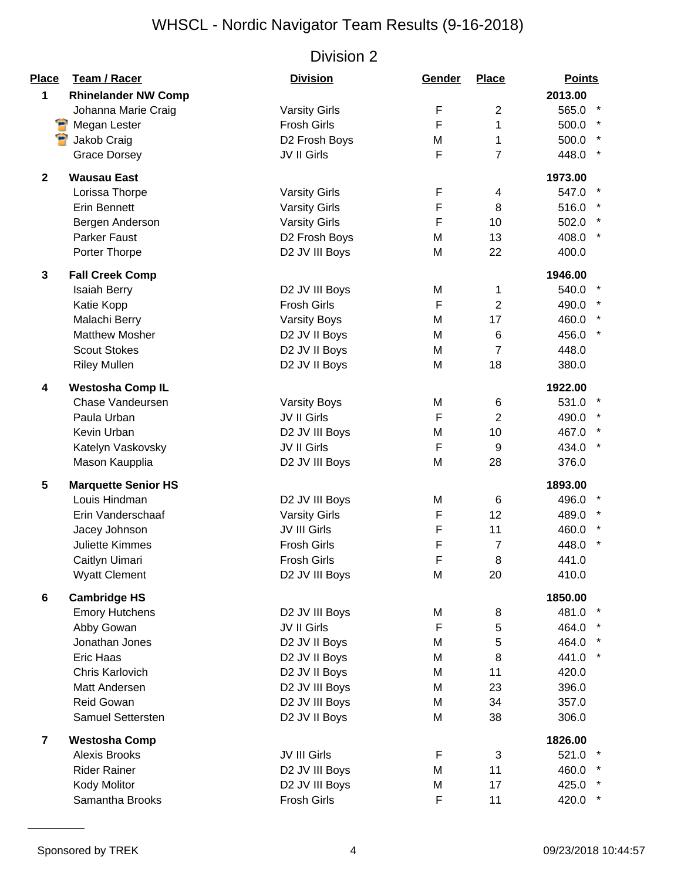| <b>Place</b>   | Team / Racer               | <b>Division</b>      | Gender | <b>Place</b>   | <b>Points</b> |         |
|----------------|----------------------------|----------------------|--------|----------------|---------------|---------|
| 1              | <b>Rhinelander NW Comp</b> |                      |        |                | 2013.00       |         |
|                | Johanna Marie Craig        | <b>Varsity Girls</b> | F      | $\overline{2}$ | 565.0 *       |         |
|                | Megan Lester               | <b>Frosh Girls</b>   | F      | 1              | 500.0         |         |
|                | Jakob Craig                | D2 Frosh Boys        | M      | 1              | 500.0         |         |
|                | <b>Grace Dorsey</b>        | JV II Girls          | F      | $\overline{7}$ | 448.0         |         |
| $\mathbf 2$    | <b>Wausau East</b>         |                      |        |                | 1973.00       |         |
|                | Lorissa Thorpe             | <b>Varsity Girls</b> | F      | 4              | 547.0         |         |
|                | <b>Erin Bennett</b>        | <b>Varsity Girls</b> | F      | 8              | 516.0         |         |
|                | Bergen Anderson            | <b>Varsity Girls</b> | F      | 10             | 502.0         |         |
|                | Parker Faust               | D2 Frosh Boys        | M      | 13             | 408.0         |         |
|                | Porter Thorpe              | D2 JV III Boys       | M      | 22             | 400.0         |         |
| 3              | <b>Fall Creek Comp</b>     |                      |        |                | 1946.00       |         |
|                | <b>Isaiah Berry</b>        | D2 JV III Boys       | M      | 1              | 540.0 *       |         |
|                | Katie Kopp                 | <b>Frosh Girls</b>   | F      | $\overline{2}$ | 490.0         |         |
|                | Malachi Berry              | <b>Varsity Boys</b>  | M      | 17             | 460.0 *       |         |
|                | <b>Matthew Mosher</b>      | D2 JV II Boys        | M      | 6              | 456.0         |         |
|                | <b>Scout Stokes</b>        | D2 JV II Boys        | M      | $\overline{7}$ | 448.0         |         |
|                | <b>Riley Mullen</b>        | D2 JV II Boys        | M      | 18             | 380.0         |         |
| 4              | <b>Westosha Comp IL</b>    |                      |        |                | 1922.00       |         |
|                | Chase Vandeursen           | <b>Varsity Boys</b>  | M      | 6              | 531.0 *       |         |
|                | Paula Urban                | JV II Girls          | F      | $\overline{2}$ | 490.0 *       |         |
|                | Kevin Urban                | D2 JV III Boys       | M      | 10             | 467.0         |         |
|                | Katelyn Vaskovsky          | JV II Girls          | F      | 9              | 434.0         | $\star$ |
|                | Mason Kaupplia             | D2 JV III Boys       | M      | 28             | 376.0         |         |
| 5              | <b>Marquette Senior HS</b> |                      |        |                | 1893.00       |         |
|                | Louis Hindman              | D2 JV III Boys       | M      | 6              | 496.0 *       |         |
|                | Erin Vanderschaaf          | <b>Varsity Girls</b> | F      | 12             | 489.0         |         |
|                | Jacey Johnson              | JV III Girls         | F      | 11             | 460.0         | $\star$ |
|                | <b>Juliette Kimmes</b>     | <b>Frosh Girls</b>   | F      | $\overline{7}$ | 448.0         |         |
|                | Caitlyn Uimari             | <b>Frosh Girls</b>   | F      | 8              | 441.0         |         |
|                | <b>Wyatt Clement</b>       | D2 JV III Boys       | M      | 20             | 410.0         |         |
| 6              | <b>Cambridge HS</b>        |                      |        |                | 1850.00       |         |
|                | <b>Emory Hutchens</b>      | D2 JV III Boys       | M      | 8              | 481.0 *       |         |
|                | Abby Gowan                 | JV II Girls          | F      | 5              | 464.0         |         |
|                | Jonathan Jones             | D2 JV II Boys        | M      | 5              | 464.0         |         |
|                | Eric Haas                  | D2 JV II Boys        | M      | 8              | 441.0 *       |         |
|                | Chris Karlovich            | D2 JV II Boys        | M      | 11             | 420.0         |         |
|                | Matt Andersen              | D2 JV III Boys       | M      | 23             | 396.0         |         |
|                | Reid Gowan                 | D2 JV III Boys       | M      | 34             | 357.0         |         |
|                | Samuel Settersten          | D2 JV II Boys        | M      | 38             | 306.0         |         |
| $\overline{7}$ | <b>Westosha Comp</b>       |                      |        |                | 1826.00       |         |
|                | <b>Alexis Brooks</b>       | JV III Girls         | F      | 3              | 521.0         |         |
|                | <b>Rider Rainer</b>        | D2 JV III Boys       | M      | 11             | 460.0 *       |         |
|                | Kody Molitor               | D2 JV III Boys       | M      | 17             | 425.0 *       |         |
|                | Samantha Brooks            | Frosh Girls          | F      | 11             | 420.0 *       |         |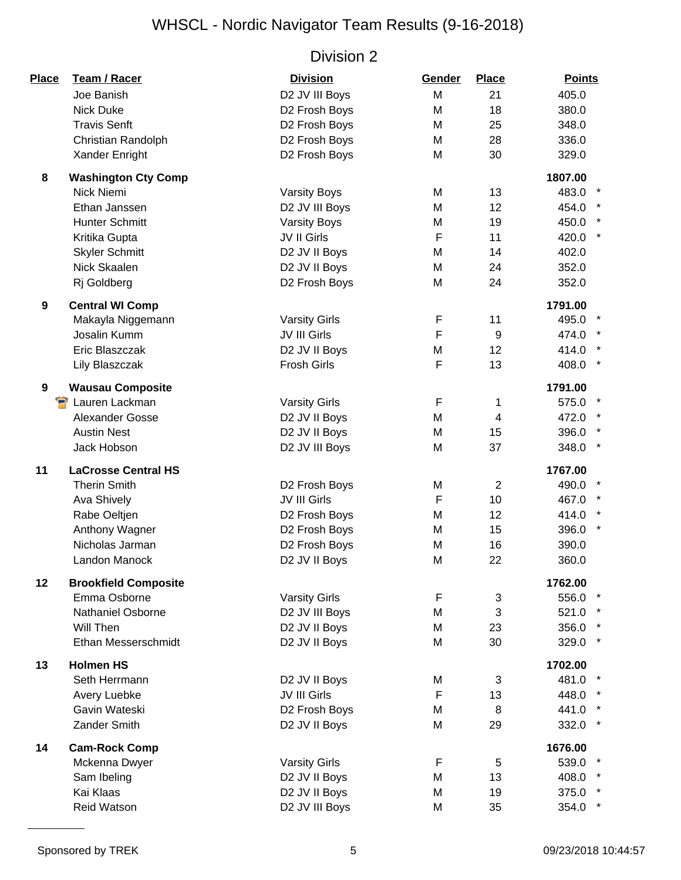| Place | Team / Racer                | <b>Division</b>      | Gender      | <b>Place</b>   | <b>Points</b>    |
|-------|-----------------------------|----------------------|-------------|----------------|------------------|
|       | Joe Banish                  | D2 JV III Boys       | M           | 21             | 405.0            |
|       | <b>Nick Duke</b>            | D2 Frosh Boys        | M           | 18             | 380.0            |
|       | <b>Travis Senft</b>         | D2 Frosh Boys        | M           | 25             | 348.0            |
|       | Christian Randolph          | D2 Frosh Boys        | M           | 28             | 336.0            |
|       | Xander Enright              | D2 Frosh Boys        | M           | 30             | 329.0            |
| 8     | <b>Washington Cty Comp</b>  |                      |             |                | 1807.00          |
|       | Nick Niemi                  | <b>Varsity Boys</b>  | M           | 13             | 483.0            |
|       | Ethan Janssen               | D2 JV III Boys       | M           | 12             | 454.0            |
|       | <b>Hunter Schmitt</b>       | <b>Varsity Boys</b>  | M           | 19             | 450.0            |
|       | Kritika Gupta               | JV II Girls          | F           | 11             | 420.0 *          |
|       | <b>Skyler Schmitt</b>       | D2 JV II Boys        | M           | 14             | 402.0            |
|       | Nick Skaalen                | D2 JV II Boys        | M           | 24             | 352.0            |
|       | Rj Goldberg                 | D2 Frosh Boys        | M           | 24             | 352.0            |
| 9     | <b>Central WI Comp</b>      |                      |             |                | 1791.00          |
|       | Makayla Niggemann           | <b>Varsity Girls</b> | F           | 11             | 495.0            |
|       | Josalin Kumm                | JV III Girls         | F           | 9              | 474.0 *          |
|       | Eric Blaszczak              | D2 JV II Boys        | M           | 12             | 414.0            |
|       | Lily Blaszczak              | <b>Frosh Girls</b>   | F           | 13             | $\star$<br>408.0 |
| 9     | <b>Wausau Composite</b>     |                      |             |                | 1791.00          |
|       | Lauren Lackman              | <b>Varsity Girls</b> | $\mathsf F$ | 1              | 575.0 *          |
|       | Alexander Gosse             | D2 JV II Boys        | M           | $\overline{4}$ | 472.0 *          |
|       | <b>Austin Nest</b>          | D2 JV II Boys        | M           | 15             | 396.0 *          |
|       | Jack Hobson                 | D2 JV III Boys       | M           | 37             | 348.0 *          |
| 11    | <b>LaCrosse Central HS</b>  |                      |             |                | 1767.00          |
|       | <b>Therin Smith</b>         | D2 Frosh Boys        | M           | 2              | 490.0            |
|       | <b>Ava Shively</b>          | JV III Girls         | F           | 10             | 467.0            |
|       | Rabe Oeltjen                | D2 Frosh Boys        | M           | 12             | 414.0 *          |
|       | Anthony Wagner              | D2 Frosh Boys        | M           | 15             | $\star$<br>396.0 |
|       | Nicholas Jarman             | D2 Frosh Boys        | M           | 16             | 390.0            |
|       | Landon Manock               | D2 JV II Boys        | M           | 22             | 360.0            |
| 12    | <b>Brookfield Composite</b> |                      |             |                | 1762.00          |
|       | Emma Osborne                | <b>Varsity Girls</b> | F           | 3              | 556.0 *          |
|       | <b>Nathaniel Osborne</b>    | D2 JV III Boys       | M           | 3              | 521.0 *          |
|       | Will Then                   | D2 JV II Boys        | M           | 23             | 356.0 *          |
|       | Ethan Messerschmidt         | D2 JV II Boys        | M           | 30             | 329.0 *          |
| 13    | <b>Holmen HS</b>            |                      |             |                | 1702.00          |
|       | Seth Herrmann               | D2 JV II Boys        | M           | 3              | 481.0 *          |
|       | Avery Luebke                | JV III Girls         | F           | 13             | 448.0 *          |
|       | Gavin Wateski               | D2 Frosh Boys        | M           | 8              | 441.0 *          |
|       | Zander Smith                | D2 JV II Boys        | M           | 29             | 332.0 *          |
| 14    | <b>Cam-Rock Comp</b>        |                      |             |                | 1676.00          |
|       | Mckenna Dwyer               | <b>Varsity Girls</b> | F           | 5              | 539.0 *          |
|       | Sam Ibeling                 | D2 JV II Boys        | M           | 13             | 408.0 *          |
|       | Kai Klaas                   | D2 JV II Boys        | M           | 19             | 375.0 *          |
|       | Reid Watson                 | D2 JV III Boys       | M           | 35             | 354.0 *          |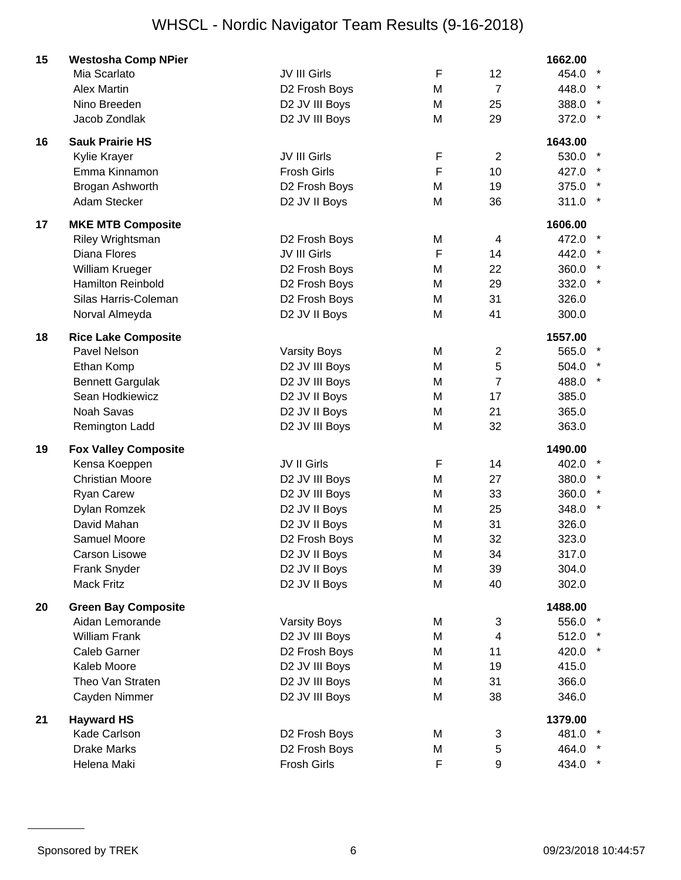| 15 | <b>Westosha Comp NPier</b>  |                     |             |                | 1662.00 |  |
|----|-----------------------------|---------------------|-------------|----------------|---------|--|
|    | Mia Scarlato                | JV III Girls        | F           | 12             | 454.0   |  |
|    | <b>Alex Martin</b>          | D2 Frosh Boys       | M           | $\overline{7}$ | 448.0   |  |
|    | Nino Breeden                | D2 JV III Boys      | M           | 25             | 388.0   |  |
|    | Jacob Zondlak               | D2 JV III Boys      | M           | 29             | 372.0   |  |
| 16 | <b>Sauk Prairie HS</b>      |                     |             |                | 1643.00 |  |
|    | Kylie Krayer                | JV III Girls        | F           | $\overline{2}$ | 530.0   |  |
|    | Emma Kinnamon               | <b>Frosh Girls</b>  | $\mathsf F$ | 10             | 427.0   |  |
|    | Brogan Ashworth             | D2 Frosh Boys       | M           | 19             | 375.0   |  |
|    | Adam Stecker                | D2 JV II Boys       | M           | 36             | 311.0   |  |
| 17 | <b>MKE MTB Composite</b>    |                     |             |                | 1606.00 |  |
|    | Riley Wrightsman            | D2 Frosh Boys       | M           | 4              | 472.0   |  |
|    | Diana Flores                | JV III Girls        | F           | 14             | 442.0   |  |
|    | William Krueger             | D2 Frosh Boys       | M           | 22             | 360.0   |  |
|    | <b>Hamilton Reinbold</b>    | D2 Frosh Boys       | M           | 29             | 332.0   |  |
|    | Silas Harris-Coleman        | D2 Frosh Boys       | M           | 31             | 326.0   |  |
|    | Norval Almeyda              | D2 JV II Boys       | M           | 41             | 300.0   |  |
| 18 | <b>Rice Lake Composite</b>  |                     |             |                | 1557.00 |  |
|    | Pavel Nelson                | <b>Varsity Boys</b> | M           | $\overline{2}$ | 565.0   |  |
|    | Ethan Komp                  | D2 JV III Boys      | M           | 5              | 504.0   |  |
|    | <b>Bennett Gargulak</b>     | D2 JV III Boys      | M           | $\overline{7}$ | 488.0   |  |
|    | Sean Hodkiewicz             | D2 JV II Boys       | M           | 17             | 385.0   |  |
|    | Noah Savas                  | D2 JV II Boys       | M           | 21             | 365.0   |  |
|    | Remington Ladd              | D2 JV III Boys      | M           | 32             | 363.0   |  |
| 19 | <b>Fox Valley Composite</b> |                     |             |                | 1490.00 |  |
|    | Kensa Koeppen               | JV II Girls         | F           | 14             | 402.0   |  |
|    | <b>Christian Moore</b>      | D2 JV III Boys      | M           | 27             | 380.0   |  |
|    | <b>Ryan Carew</b>           | D2 JV III Boys      | M           | 33             | 360.0   |  |
|    | Dylan Romzek                | D2 JV II Boys       | M           | 25             | 348.0   |  |
|    | David Mahan                 | D2 JV II Boys       | M           | 31             | 326.0   |  |
|    | Samuel Moore                | D2 Frosh Boys       | M           | 32             | 323.0   |  |
|    | <b>Carson Lisowe</b>        | D2 JV II Boys       | M           | 34             | 317.0   |  |
|    | Frank Snyder                | D2 JV II Boys       | M           | 39             | 304.0   |  |
|    | <b>Mack Fritz</b>           | D2 JV II Boys       | M           | 40             | 302.0   |  |
| 20 | <b>Green Bay Composite</b>  |                     |             |                | 1488.00 |  |
|    | Aidan Lemorande             | <b>Varsity Boys</b> | M           | 3              | 556.0   |  |
|    | <b>William Frank</b>        | D2 JV III Boys      | M           | $\overline{4}$ | 512.0   |  |
|    | <b>Caleb Garner</b>         | D2 Frosh Boys       | M           | 11             | 420.0   |  |
|    | Kaleb Moore                 | D2 JV III Boys      | M           | 19             | 415.0   |  |
|    | Theo Van Straten            | D2 JV III Boys      | M           | 31             | 366.0   |  |
|    | Cayden Nimmer               | D2 JV III Boys      | M           | 38             | 346.0   |  |
| 21 | <b>Hayward HS</b>           |                     |             |                | 1379.00 |  |
|    | Kade Carlson                | D2 Frosh Boys       | M           | 3              | 481.0   |  |
|    | <b>Drake Marks</b>          | D2 Frosh Boys       | M           | 5              | 464.0   |  |
|    | Helena Maki                 | Frosh Girls         | F           | 9              | 434.0   |  |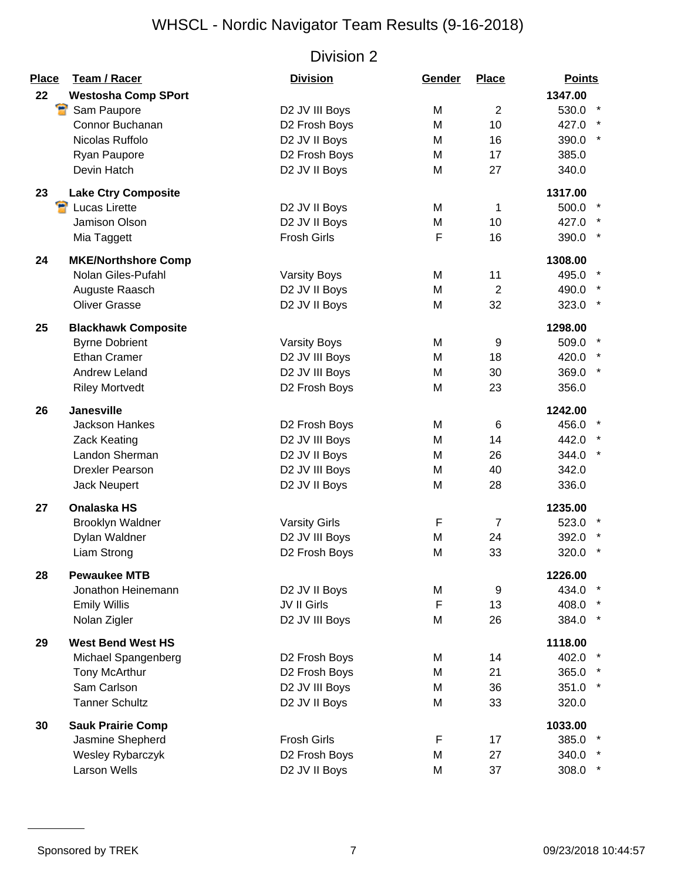| <b>Place</b> | Team / Racer               | <b>Division</b>           | Gender | <b>Place</b>   | <b>Points</b> |
|--------------|----------------------------|---------------------------|--------|----------------|---------------|
| 22           | <b>Westosha Comp SPort</b> |                           |        |                | 1347.00       |
|              | Ÿ<br>Sam Paupore           | D2 JV III Boys            | M      | $\overline{2}$ | 530.0 *       |
|              | Connor Buchanan            | D2 Frosh Boys             | M      | 10             | 427.0 *       |
|              | Nicolas Ruffolo            | D2 JV II Boys             | M      | 16             | 390.0 *       |
|              | Ryan Paupore               | D2 Frosh Boys             | M      | 17             | 385.0         |
|              | Devin Hatch                | D2 JV II Boys             | M      | 27             | 340.0         |
| 23           | <b>Lake Ctry Composite</b> |                           |        |                | 1317.00       |
|              | <b>P</b> Lucas Lirette     | D2 JV II Boys             | M      | 1              | 500.0         |
|              | Jamison Olson              | D2 JV II Boys             | M      | 10             | 427.0 *       |
|              | Mia Taggett                | <b>Frosh Girls</b>        | F      | 16             | 390.0 *       |
| 24           | <b>MKE/Northshore Comp</b> |                           |        |                | 1308.00       |
|              | Nolan Giles-Pufahl         | <b>Varsity Boys</b>       | M      | 11             | 495.0         |
|              | Auguste Raasch             | D2 JV II Boys             | M      | 2              | 490.0         |
|              | <b>Oliver Grasse</b>       | D2 JV II Boys             | M      | 32             | 323.0 *       |
| 25           | <b>Blackhawk Composite</b> |                           |        |                | 1298.00       |
|              | <b>Byrne Dobrient</b>      | <b>Varsity Boys</b>       | M      | 9              | 509.0         |
|              | <b>Ethan Cramer</b>        | D2 JV III Boys            | M      | 18             | 420.0         |
|              | <b>Andrew Leland</b>       | D2 JV III Boys            | M      | 30             | 369.0 *       |
|              | <b>Riley Mortvedt</b>      | D2 Frosh Boys             | M      | 23             | 356.0         |
| 26           | <b>Janesville</b>          |                           |        |                | 1242.00       |
|              | <b>Jackson Hankes</b>      | D2 Frosh Boys             | M      | 6              | 456.0 *       |
|              | Zack Keating               | D2 JV III Boys            | M      | 14             | 442.0 *       |
|              | Landon Sherman             | D2 JV II Boys             | M      | 26             | 344.0 *       |
|              | <b>Drexler Pearson</b>     | D2 JV III Boys            | M      | 40             | 342.0         |
|              | Jack Neupert               | D2 JV II Boys             | M      | 28             | 336.0         |
| 27           | <b>Onalaska HS</b>         |                           |        |                | 1235.00       |
|              | <b>Brooklyn Waldner</b>    | <b>Varsity Girls</b>      | F      | $\overline{7}$ | 523.0         |
|              | Dylan Waldner              | D2 JV III Boys            | M      | 24             | 392.0         |
|              | Liam Strong                | D2 Frosh Boys             | M      | 33             | 320.0         |
| 28           | <b>Pewaukee MTB</b>        |                           |        |                | 1226.00       |
|              | Jonathon Heinemann         | D2 JV II Boys             | M      | 9              | 434.0 *       |
|              | <b>Emily Willis</b>        | JV II Girls               | F      | 13             | 408.0         |
|              | Nolan Zigler               | D2 JV III Boys            | M      | 26             | 384.0 *       |
| 29           | <b>West Bend West HS</b>   |                           |        |                | 1118.00       |
|              | Michael Spangenberg        | D <sub>2</sub> Frosh Boys | M      | 14             | 402.0 *       |
|              | Tony McArthur              | D2 Frosh Boys             | M      | 21             | 365.0 *       |
|              | Sam Carlson                | D2 JV III Boys            | M      | 36             | 351.0 *       |
|              | <b>Tanner Schultz</b>      | D2 JV II Boys             | M      | 33             | 320.0         |
| 30           | <b>Sauk Prairie Comp</b>   |                           |        |                | 1033.00       |
|              | Jasmine Shepherd           | <b>Frosh Girls</b>        | F      | 17             | 385.0         |
|              | Wesley Rybarczyk           | D2 Frosh Boys             | M      | 27             | 340.0 *       |
|              | <b>Larson Wells</b>        | D2 JV II Boys             | M      | 37             | 308.0 *       |